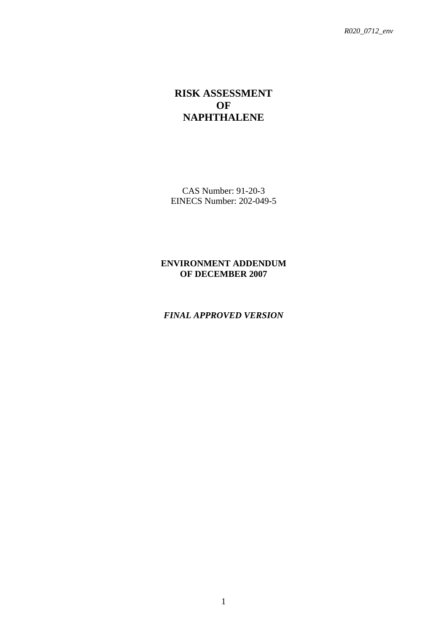# **RISK ASSESSMENT OF NAPHTHALENE**

CAS Number: 91-20-3 EINECS Number: 202-049-5

### **ENVIRONMENT ADDENDUM OF DECEMBER 2007**

#### *FINAL APPROVED VERSION*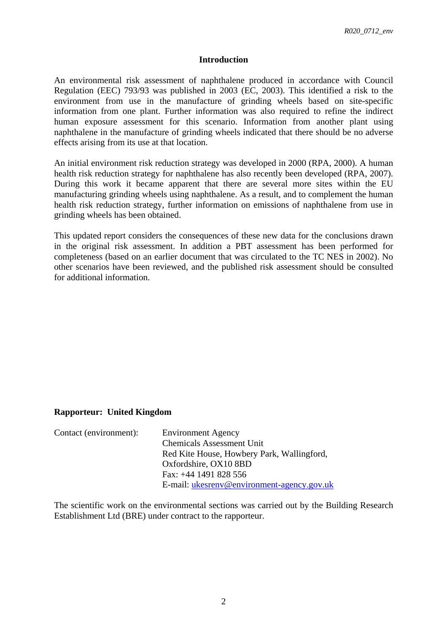#### **Introduction**

An environmental risk assessment of naphthalene produced in accordance with Council Regulation (EEC) 793/93 was published in 2003 (EC, 2003). This identified a risk to the environment from use in the manufacture of grinding wheels based on site-specific information from one plant. Further information was also required to refine the indirect human exposure assessment for this scenario. Information from another plant using naphthalene in the manufacture of grinding wheels indicated that there should be no adverse effects arising from its use at that location.

An initial environment risk reduction strategy was developed in 2000 (RPA, 2000). A human health risk reduction strategy for naphthalene has also recently been developed (RPA, 2007). During this work it became apparent that there are several more sites within the EU manufacturing grinding wheels using naphthalene. As a result, and to complement the human health risk reduction strategy, further information on emissions of naphthalene from use in grinding wheels has been obtained.

This updated report considers the consequences of these new data for the conclusions drawn in the original risk assessment. In addition a PBT assessment has been performed for completeness (based on an earlier document that was circulated to the TC NES in 2002). No other scenarios have been reviewed, and the published risk assessment should be consulted for additional information.

#### **Rapporteur: United Kingdom**

| Contact (environment): | <b>Environment Agency</b>                  |
|------------------------|--------------------------------------------|
|                        | <b>Chemicals Assessment Unit</b>           |
|                        | Red Kite House, Howbery Park, Wallingford, |
|                        | Oxfordshire, OX10 8BD                      |
|                        | Fax: $+44$ 1491 828 556                    |
|                        | E-mail: ukesreny@environment-agency.gov.uk |

The scientific work on the environmental sections was carried out by the Building Research Establishment Ltd (BRE) under contract to the rapporteur.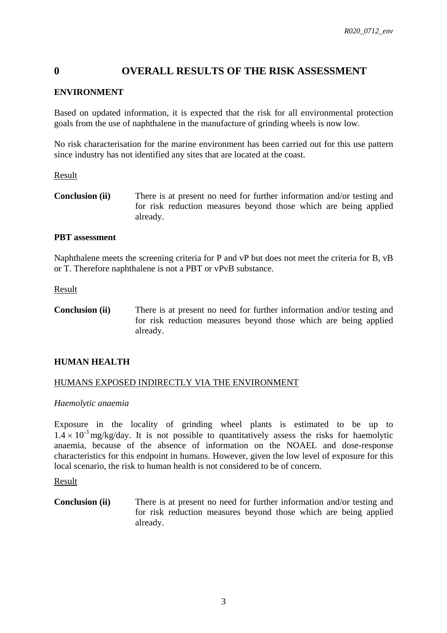# <span id="page-2-0"></span>**0 OVERALL RESULTS OF THE RISK ASSESSMENT**

### **ENVIRONMENT**

Based on updated information, it is expected that the risk for all environmental protection goals from the use of naphthalene in the manufacture of grinding wheels is now low.

No risk characterisation for the marine environment has been carried out for this use pattern since industry has not identified any sites that are located at the coast.

#### Result

**Conclusion (ii)** There is at present no need for further information and/or testing and for risk reduction measures beyond those which are being applied already.

#### **PBT assessment**

Naphthalene meets the screening criteria for P and vP but does not meet the criteria for B, vB or T. Therefore naphthalene is not a PBT or vPvB substance.

#### Result

**Conclusion (ii)** There is at present no need for further information and/or testing and for risk reduction measures beyond those which are being applied already.

#### **HUMAN HEALTH**

#### HUMANS EXPOSED INDIRECTLY VIA THE ENVIRONMENT

#### *Haemolytic anaemia*

Exposure in the locality of grinding wheel plants is estimated to be up to  $1.4 \times 10^{-3}$  mg/kg/day. It is not possible to quantitatively assess the risks for haemolytic anaemia, because of the absence of information on the NOAEL and dose-response characteristics for this endpoint in humans. However, given the low level of exposure for this local scenario, the risk to human health is not considered to be of concern.

#### Result

**Conclusion (ii)** There is at present no need for further information and/or testing and for risk reduction measures beyond those which are being applied already.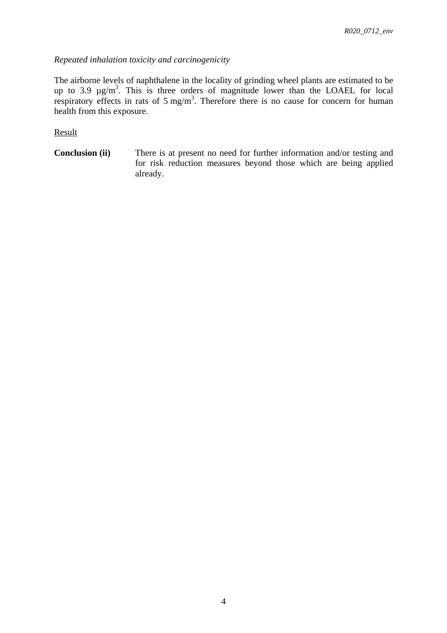## *Repeated inhalation toxicity and carcinogenicity*

The airborne levels of naphthalene in the locality of grinding wheel plants are estimated to be up to 3.9  $\mu$ g/m<sup>3</sup>. This is three orders of magnitude lower than the LOAEL for local respiratory effects in rats of  $5 \text{ mg/m}^3$ . Therefore there is no cause for concern for human health from this exposure.

## Result

**Conclusion (ii)** There is at present no need for further information and/or testing and for risk reduction measures beyond those which are being applied already.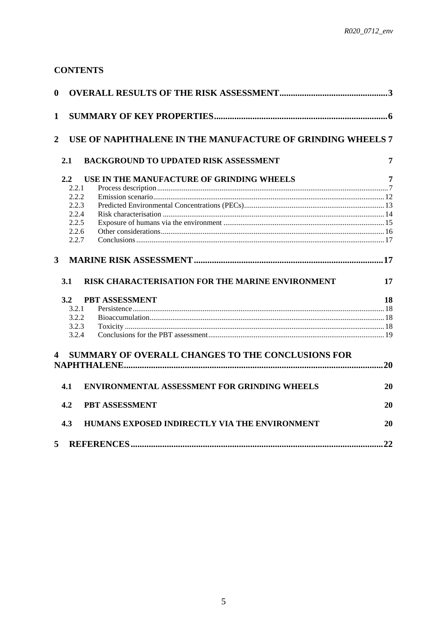# **CONTENTS**

| $\bf{0}$                |       |                                                            |    |
|-------------------------|-------|------------------------------------------------------------|----|
| $\mathbf{1}$            |       |                                                            |    |
| $\overline{2}$          |       | USE OF NAPHTHALENE IN THE MANUFACTURE OF GRINDING WHEELS 7 |    |
| 2.1                     |       | <b>BACKGROUND TO UPDATED RISK ASSESSMENT</b>               | 7  |
|                         |       |                                                            |    |
| 2.2                     |       | USE IN THE MANUFACTURE OF GRINDING WHEELS                  | 7  |
|                         | 2.2.1 |                                                            |    |
|                         | 2.2.2 |                                                            |    |
|                         | 2.2.3 |                                                            |    |
|                         | 2.2.4 |                                                            |    |
|                         | 2.2.5 |                                                            |    |
|                         | 2.2.6 |                                                            |    |
|                         | 2.2.7 |                                                            |    |
| $3^{\circ}$<br>3.1      |       | RISK CHARACTERISATION FOR THE MARINE ENVIRONMENT           | 17 |
| 3.2                     |       | PBT ASSESSMENT                                             | 18 |
|                         | 3.2.1 |                                                            |    |
|                         | 3.2.2 |                                                            |    |
|                         | 3.2.3 |                                                            |    |
|                         | 3.2.4 |                                                            |    |
| $\overline{\mathbf{4}}$ |       | SUMMARY OF OVERALL CHANGES TO THE CONCLUSIONS FOR          |    |
| 4.1                     |       | <b>ENVIRONMENTAL ASSESSMENT FOR GRINDING WHEELS</b>        | 20 |
| 4.2                     |       | PBT ASSESSMENT                                             | 20 |
| 4.3                     |       | HUMANS EXPOSED INDIRECTLY VIA THE ENVIRONMENT              | 20 |
| 5                       |       | <b>REFERENCES</b>                                          | 22 |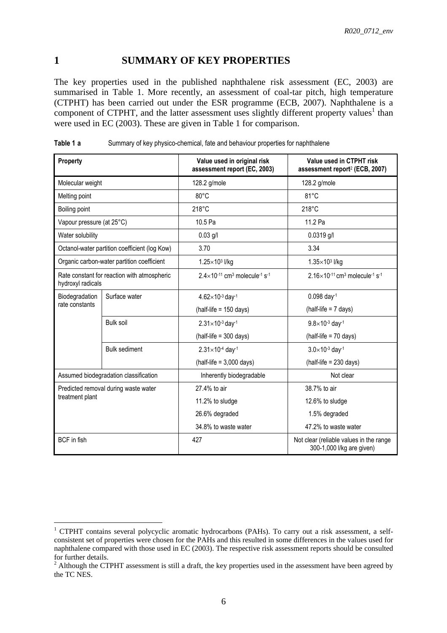# <span id="page-5-0"></span>**1 SUMMARY OF KEY PROPERTIES**

The key properties used in the published naphthalene risk assessment (EC, 2003) are summarised in [Table 1.](#page-5-1) More recently, an assessment of coal-tar pitch, high temperature (CTPHT) has been carried out under the ESR programme (ECB, 2007). Naphthalene is a component of CTPHT, and the latter assessment uses slightly different property values<sup>1</sup> than were used in EC (2003). These are given in [Table 1](#page-5-1) for comparison.

| Property                  |                                               | Value used in original risk<br>assessment report (EC, 2003)                | Value used in CTPHT risk<br>assessment report <sup>2</sup> (ECB, 2007)      |  |
|---------------------------|-----------------------------------------------|----------------------------------------------------------------------------|-----------------------------------------------------------------------------|--|
| Molecular weight          |                                               | 128.2 g/mole                                                               | 128.2 g/mole                                                                |  |
| Melting point             |                                               | 80°C                                                                       | $81^{\circ}$ C                                                              |  |
| Boiling point             |                                               | 218°C                                                                      | 218°C                                                                       |  |
| Vapour pressure (at 25°C) |                                               | 10.5 Pa                                                                    | 11.2 Pa                                                                     |  |
| Water solubility          |                                               | $0.03$ g/l                                                                 | $0.0319$ g/l                                                                |  |
|                           | Octanol-water partition coefficient (log Kow) | 3.70                                                                       | 3.34                                                                        |  |
|                           | Organic carbon-water partition coefficient    | 1.25×103 l/kg                                                              | $1.35\times10^{3}$ l/kg                                                     |  |
| hydroxyl radicals         | Rate constant for reaction with atmospheric   | $2.4\times10^{-11}$ cm <sup>3</sup> molecule <sup>-1</sup> s <sup>-1</sup> | $2.16\times10^{-11}$ cm <sup>3</sup> molecule <sup>-1</sup> s <sup>-1</sup> |  |
| Biodegradation            | Surface water                                 | $4.62\times10^{-3}$ day-1                                                  | $0.098$ day <sup>-1</sup>                                                   |  |
| rate constants            |                                               | $(half-life = 150 days)$                                                   | $(half-life = 7 days)$                                                      |  |
|                           | <b>Bulk soil</b>                              | $2.31\times10^{-3}$ day-1                                                  | $9.8 \times 10^{-3}$ day-1                                                  |  |
|                           |                                               | $(half-life = 300 days)$                                                   | (half-life = 70 days)                                                       |  |
|                           | <b>Bulk sediment</b>                          | $2.31\times10^{-4}$ day-1                                                  | $3.0\times10^{-3}$ day-1                                                    |  |
|                           |                                               | $(half-life = 3,000 days)$                                                 | $(half-life = 230 days)$                                                    |  |
|                           | Assumed biodegradation classification         | Inherently biodegradable                                                   | Not clear                                                                   |  |
|                           | Predicted removal during waste water          | 27.4% to air                                                               | 38.7% to air                                                                |  |
| treatment plant           |                                               | 11.2% to sludge                                                            | 12.6% to sludge                                                             |  |
|                           |                                               | 26.6% degraded                                                             | 1.5% degraded                                                               |  |
|                           |                                               | 34.8% to waste water                                                       | 47.2% to waste water                                                        |  |
| <b>BCF</b> in fish        |                                               | 427                                                                        | Not clear (reliable values in the range<br>300-1,000 l/kg are given)        |  |

<span id="page-5-1"></span>**Table 1 a** Summary of key physico-chemical, fate and behaviour properties for naphthalene

 $\overline{a}$ 

<sup>&</sup>lt;sup>1</sup> CTPHT contains several polycyclic aromatic hydrocarbons (PAHs). To carry out a risk assessment, a selfconsistent set of properties were chosen for the PAHs and this resulted in some differences in the values used for naphthalene compared with those used in EC (2003). The respective risk assessment reports should be consulted for further details.

<sup>&</sup>lt;sup>2</sup> Although the CTPHT assessment is still a draft, the key properties used in the assessment have been agreed by the TC NES.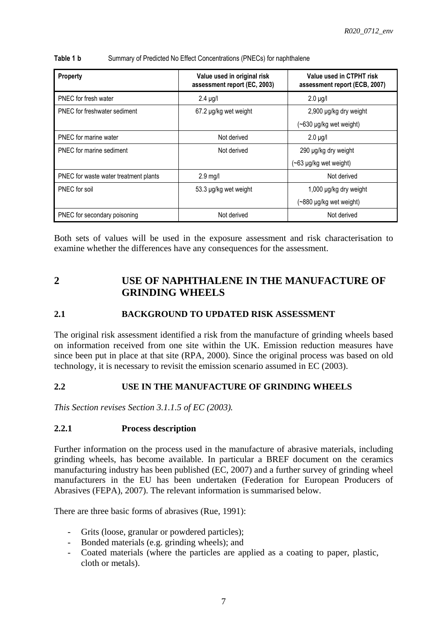| Property                              | Value used in original risk<br>assessment report (EC, 2003) | Value used in CTPHT risk<br>assessment report (ECB, 2007) |  |
|---------------------------------------|-------------------------------------------------------------|-----------------------------------------------------------|--|
| PNEC for fresh water                  | $2.4 \mu g/l$                                               | $2.0 \mu g/l$                                             |  |
| PNEC for freshwater sediment          | 67.2 µg/kg wet weight                                       | 2,900 µg/kg dry weight                                    |  |
|                                       |                                                             | (~630 µg/kg wet weight)                                   |  |
| PNEC for marine water                 | Not derived                                                 | $2.0 \mu g/l$                                             |  |
| PNEC for marine sediment              | Not derived                                                 | 290 µg/kg dry weight                                      |  |
|                                       |                                                             | $(\sim 63 \mu g/kg$ wet weight)                           |  |
| PNEC for waste water treatment plants | $2.9$ mg/l                                                  | Not derived                                               |  |
| PNEC for soil                         | 53.3 µg/kg wet weight                                       | 1,000 µg/kg dry weight                                    |  |
|                                       |                                                             | $(\sim$ 880 µg/kg wet weight)                             |  |
| PNEC for secondary poisoning          | Not derived                                                 | Not derived                                               |  |

#### **Table 1 b** Summary of Predicted No Effect Concentrations (PNECs) for naphthalene

Both sets of values will be used in the exposure assessment and risk characterisation to examine whether the differences have any consequences for the assessment.

# <span id="page-6-0"></span>**2 USE OF NAPHTHALENE IN THE MANUFACTURE OF GRINDING WHEELS**

### <span id="page-6-1"></span>**2.1 BACKGROUND TO UPDATED RISK ASSESSMENT**

The original risk assessment identified a risk from the manufacture of grinding wheels based on information received from one site within the UK. Emission reduction measures have since been put in place at that site (RPA, 2000). Since the original process was based on old technology, it is necessary to revisit the emission scenario assumed in EC (2003).

#### <span id="page-6-2"></span>**2.2 USE IN THE MANUFACTURE OF GRINDING WHEELS**

*This Section revises Section 3.1.1.5 of EC (2003).* 

#### <span id="page-6-3"></span>**2.2.1 Process description**

Further information on the process used in the manufacture of abrasive materials, including grinding wheels, has become available. In particular a BREF document on the ceramics manufacturing industry has been published (EC, 2007) and a further survey of grinding wheel manufacturers in the EU has been undertaken (Federation for European Producers of Abrasives (FEPA), 2007). The relevant information is summarised below.

There are three basic forms of abrasives (Rue, 1991):

- Grits (loose, granular or powdered particles);
- Bonded materials (e.g. grinding wheels); and
- Coated materials (where the particles are applied as a coating to paper, plastic, cloth or metals).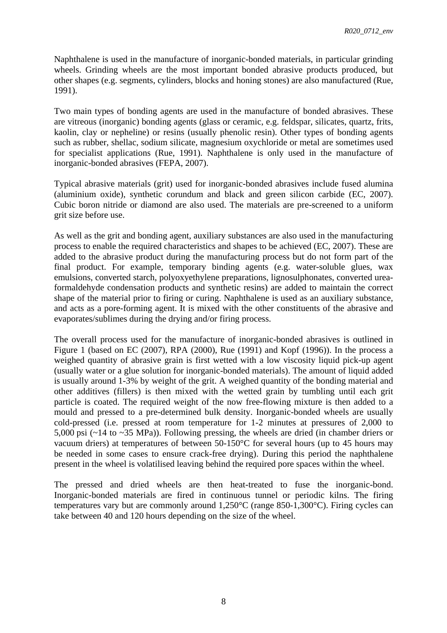Naphthalene is used in the manufacture of inorganic-bonded materials, in particular grinding wheels. Grinding wheels are the most important bonded abrasive products produced, but other shapes (e.g. segments, cylinders, blocks and honing stones) are also manufactured (Rue, 1991).

Two main types of bonding agents are used in the manufacture of bonded abrasives. These are vitreous (inorganic) bonding agents (glass or ceramic, e.g. feldspar, silicates, quartz, frits, kaolin, clay or nepheline) or resins (usually phenolic resin). Other types of bonding agents such as rubber, shellac, sodium silicate, magnesium oxychloride or metal are sometimes used for specialist applications (Rue, 1991). Naphthalene is only used in the manufacture of inorganic-bonded abrasives (FEPA, 2007).

Typical abrasive materials (grit) used for inorganic-bonded abrasives include fused alumina (aluminium oxide), synthetic corundum and black and green silicon carbide (EC, 2007). Cubic boron nitride or diamond are also used. The materials are pre-screened to a uniform grit size before use.

As well as the grit and bonding agent, auxiliary substances are also used in the manufacturing process to enable the required characteristics and shapes to be achieved (EC, 2007). These are added to the abrasive product during the manufacturing process but do not form part of the final product. For example, temporary binding agents (e.g. water-soluble glues, wax emulsions, converted starch, polyoxyethylene preparations, lignosulphonates, converted ureaformaldehyde condensation products and synthetic resins) are added to maintain the correct shape of the material prior to firing or curing. Naphthalene is used as an auxiliary substance, and acts as a pore-forming agent. It is mixed with the other constituents of the abrasive and evaporates/sublimes during the drying and/or firing process.

The overall process used for the manufacture of inorganic-bonded abrasives is outlined in [Figure 1](#page-8-0) (based on EC (2007), RPA (2000), Rue (1991) and Kopf (1996)). In the process a weighed quantity of abrasive grain is first wetted with a low viscosity liquid pick-up agent (usually water or a glue solution for inorganic-bonded materials). The amount of liquid added is usually around 1-3% by weight of the grit. A weighed quantity of the bonding material and other additives (fillers) is then mixed with the wetted grain by tumbling until each grit particle is coated. The required weight of the now free-flowing mixture is then added to a mould and pressed to a pre-determined bulk density. Inorganic-bonded wheels are usually cold-pressed (i.e. pressed at room temperature for 1-2 minutes at pressures of 2,000 to 5,000 psi (~14 to ~35 MPa)). Following pressing, the wheels are dried (in chamber driers or vacuum driers) at temperatures of between 50-150°C for several hours (up to 45 hours may be needed in some cases to ensure crack-free drying). During this period the naphthalene present in the wheel is volatilised leaving behind the required pore spaces within the wheel.

The pressed and dried wheels are then heat-treated to fuse the inorganic-bond. Inorganic-bonded materials are fired in continuous tunnel or periodic kilns. The firing temperatures vary but are commonly around 1,250°C (range 850-1,300°C). Firing cycles can take between 40 and 120 hours depending on the size of the wheel.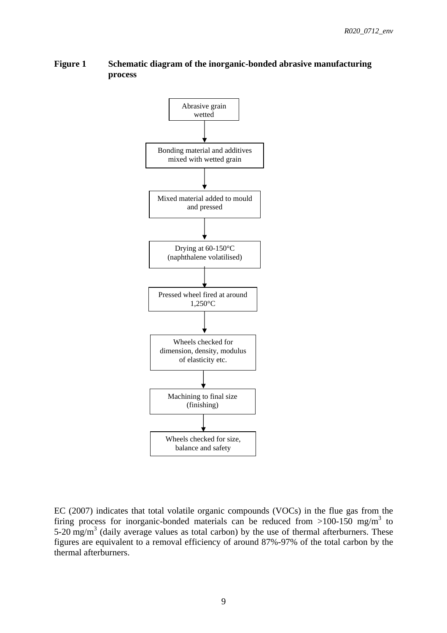### <span id="page-8-0"></span>**Figure 1 Schematic diagram of the inorganic-bonded abrasive manufacturing process**



EC (2007) indicates that total volatile organic compounds (VOCs) in the flue gas from the firing process for inorganic-bonded materials can be reduced from  $>100-150$  mg/m<sup>3</sup> to 5-20 mg/m<sup>3</sup> (daily average values as total carbon) by the use of thermal afterburners. These figures are equivalent to a removal efficiency of around 87%-97% of the total carbon by the thermal afterburners.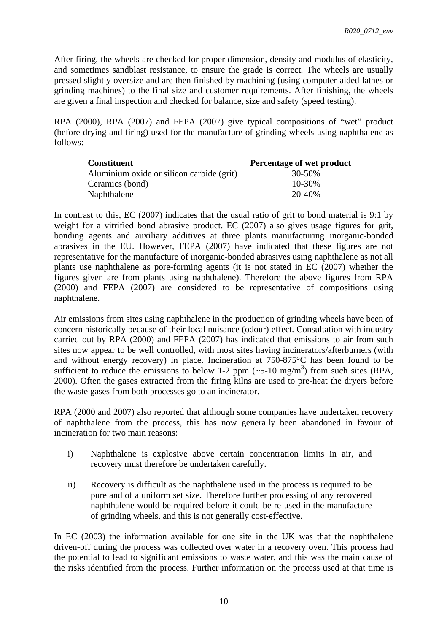After firing, the wheels are checked for proper dimension, density and modulus of elasticity, and sometimes sandblast resistance, to ensure the grade is correct. The wheels are usually pressed slightly oversize and are then finished by machining (using computer-aided lathes or grinding machines) to the final size and customer requirements. After finishing, the wheels are given a final inspection and checked for balance, size and safety (speed testing).

RPA (2000), RPA (2007) and FEPA (2007) give typical compositions of "wet" product (before drying and firing) used for the manufacture of grinding wheels using naphthalene as follows:

| <b>Constituent</b>                        | Percentage of wet product |
|-------------------------------------------|---------------------------|
| Aluminium oxide or silicon carbide (grit) | 30-50%                    |
| Ceramics (bond)                           | 10-30%                    |
| Naphthalene                               | 20-40%                    |

In contrast to this, EC (2007) indicates that the usual ratio of grit to bond material is 9:1 by weight for a vitrified bond abrasive product. EC (2007) also gives usage figures for grit, bonding agents and auxiliary additives at three plants manufacturing inorganic-bonded abrasives in the EU. However, FEPA (2007) have indicated that these figures are not representative for the manufacture of inorganic-bonded abrasives using naphthalene as not all plants use naphthalene as pore-forming agents (it is not stated in EC (2007) whether the figures given are from plants using naphthalene). Therefore the above figures from RPA (2000) and FEPA (2007) are considered to be representative of compositions using naphthalene.

Air emissions from sites using naphthalene in the production of grinding wheels have been of concern historically because of their local nuisance (odour) effect. Consultation with industry carried out by RPA (2000) and FEPA (2007) has indicated that emissions to air from such sites now appear to be well controlled, with most sites having incinerators/afterburners (with and without energy recovery) in place. Incineration at 750-875°C has been found to be sufficient to reduce the emissions to below 1-2 ppm  $(\sim 5{\text -}10 \text{ mg/m}^3)$  from such sites (RPA, 2000). Often the gases extracted from the firing kilns are used to pre-heat the dryers before the waste gases from both processes go to an incinerator.

RPA (2000 and 2007) also reported that although some companies have undertaken recovery of naphthalene from the process, this has now generally been abandoned in favour of incineration for two main reasons:

- i) Naphthalene is explosive above certain concentration limits in air, and recovery must therefore be undertaken carefully.
- ii) Recovery is difficult as the naphthalene used in the process is required to be pure and of a uniform set size. Therefore further processing of any recovered naphthalene would be required before it could be re-used in the manufacture of grinding wheels, and this is not generally cost-effective.

In EC (2003) the information available for one site in the UK was that the naphthalene driven-off during the process was collected over water in a recovery oven. This process had the potential to lead to significant emissions to waste water, and this was the main cause of the risks identified from the process. Further information on the process used at that time is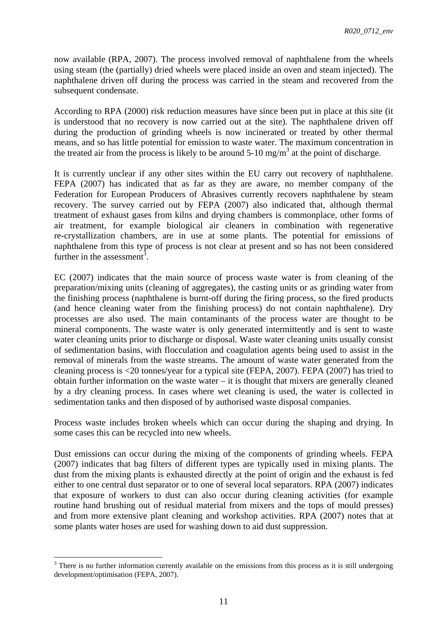now available (RPA, 2007). The process involved removal of naphthalene from the wheels using steam (the (partially) dried wheels were placed inside an oven and steam injected). The naphthalene driven off during the process was carried in the steam and recovered from the subsequent condensate.

According to RPA (2000) risk reduction measures have since been put in place at this site (it is understood that no recovery is now carried out at the site). The naphthalene driven off during the production of grinding wheels is now incinerated or treated by other thermal means, and so has little potential for emission to waste water. The maximum concentration in the treated air from the process is likely to be around  $5\text{-}10 \text{ mg/m}^3$  at the point of discharge.

It is currently unclear if any other sites within the EU carry out recovery of naphthalene. FEPA (2007) has indicated that as far as they are aware, no member company of the Federation for European Producers of Abrasives currently recovers naphthalene by steam recovery. The survey carried out by FEPA (2007) also indicated that, although thermal treatment of exhaust gases from kilns and drying chambers is commonplace, other forms of air treatment, for example biological air cleaners in combination with regenerative re-crystallization chambers, are in use at some plants. The potential for emissions of naphthalene from this type of process is not clear at present and so has not been considered further in the assessment<sup>3</sup>.

EC (2007) indicates that the main source of process waste water is from cleaning of the preparation/mixing units (cleaning of aggregates), the casting units or as grinding water from the finishing process (naphthalene is burnt-off during the firing process, so the fired products (and hence cleaning water from the finishing process) do not contain naphthalene). Dry processes are also used. The main contaminants of the process water are thought to be mineral components. The waste water is only generated intermittently and is sent to waste water cleaning units prior to discharge or disposal. Waste water cleaning units usually consist of sedimentation basins, with flocculation and coagulation agents being used to assist in the removal of minerals from the waste streams. The amount of waste water generated from the cleaning process is <20 tonnes/year for a typical site (FEPA, 2007). FEPA (2007) has tried to obtain further information on the waste water – it is thought that mixers are generally cleaned by a dry cleaning process. In cases where wet cleaning is used, the water is collected in sedimentation tanks and then disposed of by authorised waste disposal companies.

Process waste includes broken wheels which can occur during the shaping and drying. In some cases this can be recycled into new wheels.

Dust emissions can occur during the mixing of the components of grinding wheels. FEPA (2007) indicates that bag filters of different types are typically used in mixing plants. The dust from the mixing plants is exhausted directly at the point of origin and the exhaust is fed either to one central dust separator or to one of several local separators. RPA (2007) indicates that exposure of workers to dust can also occur during cleaning activities (for example routine hand brushing out of residual material from mixers and the tops of mould presses) and from more extensive plant cleaning and workshop activities. RPA (2007) notes that at some plants water hoses are used for washing down to aid dust suppression.

 $\overline{a}$  $3$  There is no further information currently available on the emissions from this process as it is still undergoing development/optimisation (FEPA, 2007).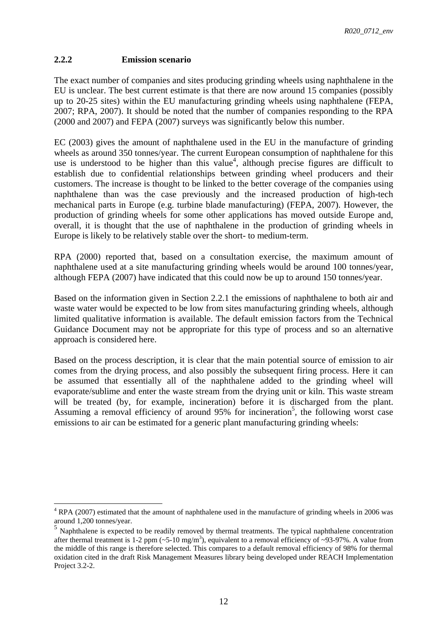### <span id="page-11-0"></span>**2.2.2 Emission scenario**

The exact number of companies and sites producing grinding wheels using naphthalene in the EU is unclear. The best current estimate is that there are now around 15 companies (possibly up to 20-25 sites) within the EU manufacturing grinding wheels using naphthalene (FEPA, 2007; RPA, 2007). It should be noted that the number of companies responding to the RPA (2000 and 2007) and FEPA (2007) surveys was significantly below this number.

EC (2003) gives the amount of naphthalene used in the EU in the manufacture of grinding wheels as around 350 tonnes/year. The current European consumption of naphthalene for this use is understood to be higher than this value<sup>4</sup>, although precise figures are difficult to establish due to confidential relationships between grinding wheel producers and their customers. The increase is thought to be linked to the better coverage of the companies using naphthalene than was the case previously and the increased production of high-tech mechanical parts in Europe (e.g. turbine blade manufacturing) (FEPA, 2007). However, the production of grinding wheels for some other applications has moved outside Europe and, overall, it is thought that the use of naphthalene in the production of grinding wheels in Europe is likely to be relatively stable over the short- to medium-term.

RPA (2000) reported that, based on a consultation exercise, the maximum amount of naphthalene used at a site manufacturing grinding wheels would be around 100 tonnes/year, although FEPA (2007) have indicated that this could now be up to around 150 tonnes/year.

Based on the information given in Sectio[n 2.2.1](#page-6-3) the emissions of naphthalene to both air and waste water would be expected to be low from sites manufacturing grinding wheels, although limited qualitative information is available. The default emission factors from the Technical Guidance Document may not be appropriate for this type of process and so an alternative approach is considered here.

Based on the process description, it is clear that the main potential source of emission to air comes from the drying process, and also possibly the subsequent firing process. Here it can be assumed that essentially all of the naphthalene added to the grinding wheel will evaporate/sublime and enter the waste stream from the drying unit or kiln. This waste stream will be treated (by, for example, incineration) before it is discharged from the plant. Assuming a removal efficiency of around 95% for incineration<sup>5</sup>, the following worst case emissions to air can be estimated for a generic plant manufacturing grinding wheels:

 $\overline{a}$  $4$  RPA (2007) estimated that the amount of naphthalene used in the manufacture of grinding wheels in 2006 was around 1,200 tonnes/year.

<sup>&</sup>lt;sup>5</sup> Naphthalene is expected to be readily removed by thermal treatments. The typical naphthalene concentration after thermal treatment is 1-2 ppm ( $\sim$ 5-10 mg/m<sup>3</sup>), equivalent to a removal efficiency of  $\sim$ 93-97%. A value from the middle of this range is therefore selected. This compares to a default removal efficiency of 98% for thermal oxidation cited in the draft Risk Management Measures library being developed under REACH Implementation Project 3.2-2.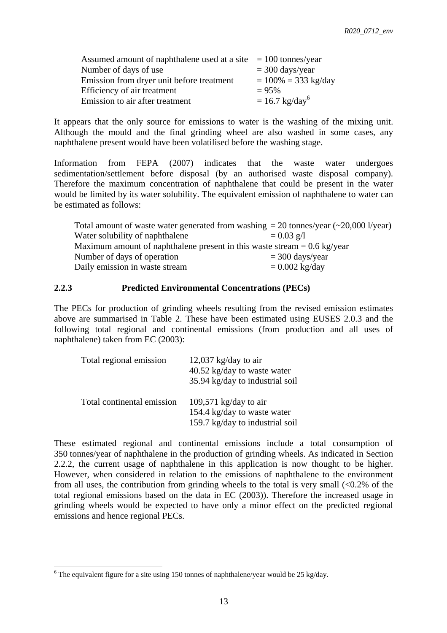| Assumed amount of naphthalene used at a site $= 100$ tonnes/year |                           |
|------------------------------------------------------------------|---------------------------|
| Number of days of use                                            | $=$ 300 days/year         |
| Emission from dryer unit before treatment                        | $= 100\% = 333$ kg/day    |
| Efficiency of air treatment                                      | $= 95%$                   |
| Emission to air after treatment                                  | $= 16.7 \text{ kg/day}^6$ |

It appears that the only source for emissions to water is the washing of the mixing unit. Although the mould and the final grinding wheel are also washed in some cases, any naphthalene present would have been volatilised before the washing stage.

Information from FEPA (2007) indicates that the waste water undergoes sedimentation/settlement before disposal (by an authorised waste disposal company). Therefore the maximum concentration of naphthalene that could be present in the water would be limited by its water solubility. The equivalent emission of naphthalene to water can be estimated as follows:

| Total amount of waste water generated from washing $= 20$ tonnes/year ( $\sim$ 20,000 l/year) |                   |  |  |  |
|-----------------------------------------------------------------------------------------------|-------------------|--|--|--|
| Water solubility of naphthalene                                                               | $= 0.03$ g/l      |  |  |  |
| Maximum amount of naphthalene present in this waste stream $= 0.6 \text{ kg/year}$            |                   |  |  |  |
| Number of days of operation                                                                   | $=$ 300 days/year |  |  |  |
| Daily emission in waste stream                                                                | $= 0.002$ kg/day  |  |  |  |

## <span id="page-12-0"></span>**2.2.3 Predicted Environmental Concentrations (PECs)**

The PECs for production of grinding wheels resulting from the revised emission estimates above are summarised in [Table 2.](#page-13-1) These have been estimated using EUSES 2.0.3 and the following total regional and continental emissions (from production and all uses of naphthalene) taken from EC (2003):

| Total regional emission    | 12,037 kg/day to air<br>40.52 kg/day to waste water<br>35.94 kg/day to industrial soil  |
|----------------------------|-----------------------------------------------------------------------------------------|
| Total continental emission | 109,571 kg/day to air<br>154.4 kg/day to waste water<br>159.7 kg/day to industrial soil |

These estimated regional and continental emissions include a total consumption of 350 tonnes/year of naphthalene in the production of grinding wheels. As indicated in Section 2.2.2, the current usage of naphthalene in this application is now thought to be higher. However, when considered in relation to the emissions of naphthalene to the environment from all uses, the contribution from grinding wheels to the total is very small  $\langle 0.2\%$  of the total regional emissions based on the data in EC (2003)). Therefore the increased usage in grinding wheels would be expected to have only a minor effect on the predicted regional emissions and hence regional PECs.

 $\overline{a}$ 

<sup>&</sup>lt;sup>6</sup> The equivalent figure for a site using 150 tonnes of naphthalene/year would be 25 kg/day.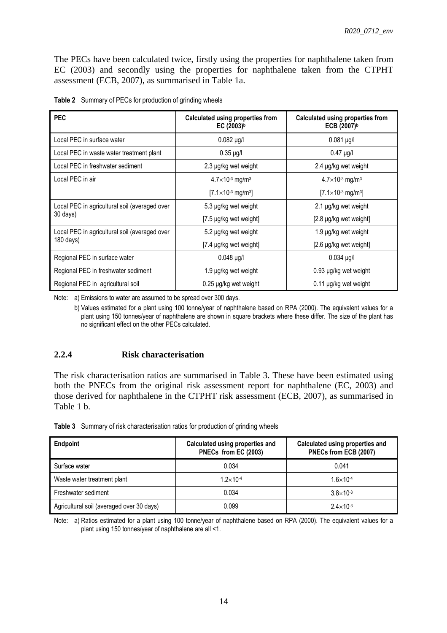The PECs have been calculated twice, firstly using the properties for naphthalene taken from EC (2003) and secondly using the properties for naphthalene taken from the CTPHT assessment (ECB, 2007), as summarised in [Table 1a](#page-5-1).

| <b>PEC</b>                                    | <b>Calculated using properties from</b><br>EC $(2003)^b$ | <b>Calculated using properties from</b><br>ECB $(2007)^b$ |
|-----------------------------------------------|----------------------------------------------------------|-----------------------------------------------------------|
| Local PEC in surface water                    | $0.082 \mu g/l$                                          | $0.081 \mu g/l$                                           |
| Local PEC in waste water treatment plant      | $0.35 \mu g/l$                                           | $0.47$ µg/l                                               |
| Local PEC in freshwater sediment              | 2.3 µg/kg wet weight                                     | 2.4 µg/kg wet weight                                      |
| Local PEC in air                              | $4.7\times10^{3}$ mg/m <sup>3</sup>                      | $4.7\times10^{-3}$ mg/m <sup>3</sup>                      |
|                                               | $[7.1 \times 10^{-3} \text{ mg/m}^3]$                    | $[7.1 \times 10^{-3} \text{ mg/m}^3]$                     |
| Local PEC in agricultural soil (averaged over | 5.3 µg/kg wet weight                                     | 2.1 µg/kg wet weight                                      |
| 30 days)                                      | $[7.5 \mu g/kg$ wet weight                               | $[2.8 \mu g/kg$ wet weight                                |
| Local PEC in agricultural soil (averaged over | 5.2 µg/kg wet weight                                     | 1.9 µg/kg wet weight                                      |
| 180 days)                                     | [7.4 µg/kg wet weight]                                   | [2.6 µg/kg wet weight]                                    |
| Regional PEC in surface water                 | $0.048$ µg/l                                             | $0.034$ µg/l                                              |
| Regional PEC in freshwater sediment           | 1.9 µg/kg wet weight                                     | 0.93 µg/kg wet weight                                     |
| Regional PEC in agricultural soil             | $0.25 \mu g/kg$ wet weight                               | 0.11 µg/kg wet weight                                     |

<span id="page-13-1"></span>

|  |  | Table 2 Summary of PECs for production of grinding wheels |
|--|--|-----------------------------------------------------------|
|  |  |                                                           |

Note: a) Emissions to water are assumed to be spread over 300 days.

 b) Values estimated for a plant using 100 tonne/year of naphthalene based on RPA (2000). The equivalent values for a plant using 150 tonnes/year of naphthalene are shown in square brackets where these differ. The size of the plant has no significant effect on the other PECs calculated.

#### <span id="page-13-0"></span>**2.2.4 Risk characterisation**

The risk characterisation ratios are summarised in [Table 3.](#page-13-2) These have been estimated using both the PNECs from the original risk assessment report for naphthalene (EC, 2003) and those derived for naphthalene in the CTPHT risk assessment (ECB, 2007), as summarised in [Table 1](#page-5-1) b.

<span id="page-13-2"></span>

|  |  |  | Table 3 Summary of risk characterisation ratios for production of grinding wheels |
|--|--|--|-----------------------------------------------------------------------------------|
|  |  |  |                                                                                   |

| Endpoint                                  | Calculated using properties and<br>PNECs from EC (2003) | Calculated using properties and<br>PNECs from ECB (2007) |  |
|-------------------------------------------|---------------------------------------------------------|----------------------------------------------------------|--|
| Surface water                             | 0.034                                                   | 0.041                                                    |  |
| Waste water treatment plant               | $1.2\times10^{-4}$                                      | $1.6 \times 10^{-4}$                                     |  |
| Freshwater sediment                       | 0.034                                                   | $3.8 \times 10^{-3}$                                     |  |
| Agricultural soil (averaged over 30 days) | 0.099                                                   | $2.4 \times 10^{-3}$                                     |  |

Note: a) Ratios estimated for a plant using 100 tonne/year of naphthalene based on RPA (2000). The equivalent values for a plant using 150 tonnes/year of naphthalene are all <1.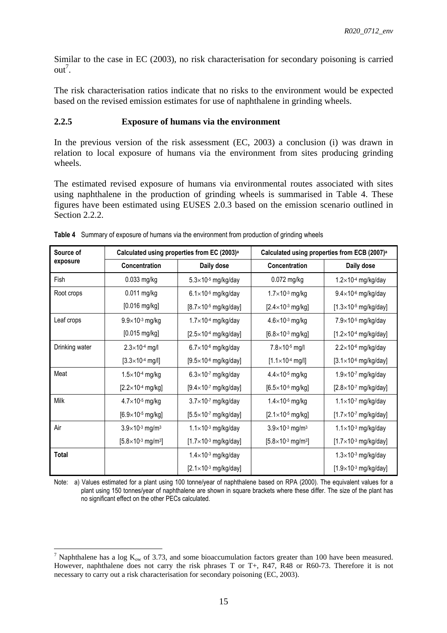Similar to the case in EC (2003), no risk characterisation for secondary poisoning is carried  $out^7$ .

The risk characterisation ratios indicate that no risks to the environment would be expected based on the revised emission estimates for use of naphthalene in grinding wheels.

#### <span id="page-14-0"></span>**2.2.5 Exposure of humans via the environment**

In the previous version of the risk assessment (EC, 2003) a conclusion (i) was drawn in relation to local exposure of humans via the environment from sites producing grinding wheels.

The estimated revised exposure of humans via environmental routes associated with sites using naphthalene in the production of grinding wheels is summarised in [Table 4.](#page-14-1) These figures have been estimated using EUSES 2.0.3 based on the emission scenario outlined in Section 2.2.2.

| Source of<br>exposure | Calculated using properties from EC (2003) <sup>a</sup> |                                   | Calculated using properties from ECB (2007) <sup>a</sup> |                                  |
|-----------------------|---------------------------------------------------------|-----------------------------------|----------------------------------------------------------|----------------------------------|
|                       | Concentration                                           | Daily dose                        | Concentration                                            | Daily dose                       |
| Fish                  | $0.033$ mg/kg                                           | $5.3\times10^{-5}$ mg/kg/day      | $0.072$ mg/kg                                            | $1.2\times10^{-4}$ mg/kg/day     |
| Root crops            | 0.011 mg/kg                                             | $6.1\times10^{5}$ mg/kg/day       | $1.7\times10^{-3}$ mg/kg                                 | $9.4\times10^{-6}$ mg/kg/day     |
|                       | $[0.016$ mg/kg]                                         | [ $8.7 \times 10^{-5}$ mg/kg/day] | $[2.4 \times 10^{-3} \text{ mg/kg}]$                     | [ $1.3\times10^{-5}$ mg/kg/day]  |
| Leaf crops            | $9.9\times10^{3}$ mg/kg                                 | $1.7\times10^{4}$ mg/kg/day       | $4.6 \times 10^{-3}$ mg/kg                               | $7.9\times10^{5}$ mg/kg/day      |
|                       | $[0.015 \text{ mg/kg}]$                                 | $[2.5\times10^{-4}$ mg/kg/day]    | $[6.8 \times 10^{-3} \text{ mg/kg}]$                     | $[1.2\times10^{-4}$ mg/kg/day]   |
| Drinking water        | $2.3 \times 10^{-4}$ mg/l                               | $6.7\times10^{-6}$ mg/kg/day      | $7.8 \times 10^{-5}$ mg/l                                | $2.2\times10^{-6}$ mg/kg/day     |
|                       | $[3.3 \times 10^{-4} \text{ mg/l}]$                     | $[9.5\times10^{-6}$ mg/kg/day]    | $[1.1 \times 10^{-4} \text{ mg/l}]$                      | $[3.1 \times 10^{-6}$ mg/kg/day] |
| Meat                  | $1.5\times10^{-4}$ mg/kg                                | $6.3\times10^{.7}$ mg/kg/day      | $4.4 \times 10^{-5}$ mg/kg                               | $1.9\times10-7$ mg/kg/day        |
|                       | $[2.2 \times 10^{-4} \text{ mg/kg}]$                    | $[9.4 \times 10^{-7}$ mg/kg/day]  | $[6.5 \times 10^{-5} \text{ mg/kg}]$                     | $[2.8\times10^{-7}$ mg/kg/day]   |
| Milk                  | $4.7\times10^{-5}$ mg/kg                                | $3.7\times10^{-7}$ mg/kg/day      | $1.4\times10^{-5}$ mg/kg                                 | $1.1\times10^{-7}$ mg/kg/day     |
|                       | $[6.9 \times 10^{-5} \text{ mg/kg}]$                    | $[5.5 \times 10^{-7}$ mg/kg/day]  | $[2.1 \times 10^{-5} \text{ mg/kg}]$                     | $[1.7\times10^{-7}$ mg/kg/day]   |
| Air                   | $3.9\times10^{-3}$ mg/m <sup>3</sup>                    | $1.1\times10^{-3}$ mg/kg/day      | $3.9\times10^{3}$ mg/m <sup>3</sup>                      | $1.1\times10^{-3}$ mg/kg/day     |
|                       | $[5.8 \times 10^{-3} \text{ mg/m}^3]$                   | $[1.7\times10^{-3}$ mg/kg/day]    | $[5.8 \times 10^{-3} \text{ mg/m}^3]$                    | $[1.7\times10^{3}$ mg/kg/day]    |
| <b>Total</b>          |                                                         | $1.4\times10^{-3}$ mg/kg/day      |                                                          | $1.3\times10^{-3}$ mg/kg/day     |
|                       |                                                         | $[2.1 \times 10^{-3}$ mg/kg/day]  |                                                          | $[1.9\times10^{3}$ mg/kg/day]    |

<span id="page-14-1"></span>**Table 4** Summary of exposure of humans via the environment from production of grinding wheels

Note: a) Values estimated for a plant using 100 tonne/year of naphthalene based on RPA (2000). The equivalent values for a plant using 150 tonnes/year of naphthalene are shown in square brackets where these differ. The size of the plant has no significant effect on the other PECs calculated.

 $\overline{a}$ 

<sup>&</sup>lt;sup>7</sup> Naphthalene has a log  $K_{ow}$  of 3.73, and some bioaccumulation factors greater than 100 have been measured. However, naphthalene does not carry the risk phrases T or T+, R47, R48 or R60-73. Therefore it is not necessary to carry out a risk characterisation for secondary poisoning (EC, 2003).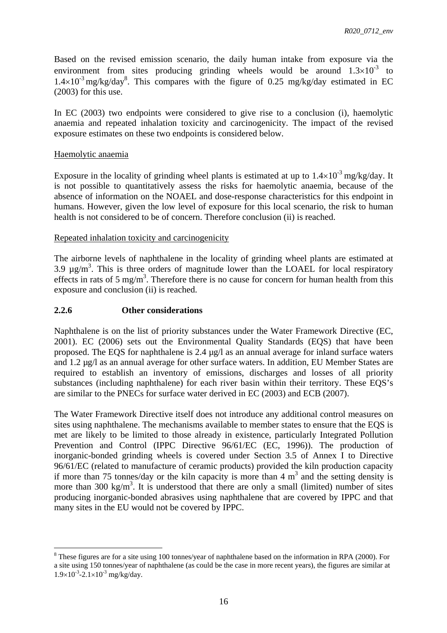Based on the revised emission scenario, the daily human intake from exposure via the environment from sites producing grinding wheels would be around  $1.3\times10^{-3}$  to  $1.4 \times 10^{-3}$  mg/kg/day<sup>8</sup>. This compares with the figure of 0.25 mg/kg/day estimated in EC (2003) for this use.

In EC (2003) two endpoints were considered to give rise to a conclusion (i), haemolytic anaemia and repeated inhalation toxicity and carcinogenicity. The impact of the revised exposure estimates on these two endpoints is considered below.

#### Haemolytic anaemia

 $\overline{a}$ 

Exposure in the locality of grinding wheel plants is estimated at up to  $1.4 \times 10^{-3}$  mg/kg/day. It is not possible to quantitatively assess the risks for haemolytic anaemia, because of the absence of information on the NOAEL and dose-response characteristics for this endpoint in humans. However, given the low level of exposure for this local scenario, the risk to human health is not considered to be of concern. Therefore conclusion (ii) is reached.

#### Repeated inhalation toxicity and carcinogenicity

The airborne levels of naphthalene in the locality of grinding wheel plants are estimated at 3.9  $\mu$ g/m<sup>3</sup>. This is three orders of magnitude lower than the LOAEL for local respiratory effects in rats of 5 mg/m<sup>3</sup>. Therefore there is no cause for concern for human health from this exposure and conclusion (ii) is reached.

#### <span id="page-15-0"></span>**2.2.6 Other considerations**

Naphthalene is on the list of priority substances under the Water Framework Directive (EC, 2001). EC (2006) sets out the Environmental Quality Standards (EQS) that have been proposed. The EQS for naphthalene is 2.4  $\mu$ g/l as an annual average for inland surface waters and 1.2 µg/l as an annual average for other surface waters. In addition, EU Member States are required to establish an inventory of emissions, discharges and losses of all priority substances (including naphthalene) for each river basin within their territory. These EQS's are similar to the PNECs for surface water derived in EC (2003) and ECB (2007).

The Water Framework Directive itself does not introduce any additional control measures on sites using naphthalene. The mechanisms available to member states to ensure that the EQS is met are likely to be limited to those already in existence, particularly Integrated Pollution Prevention and Control (IPPC Directive 96/61/EC (EC, 1996)). The production of inorganic-bonded grinding wheels is covered under Section 3.5 of Annex I to Directive 96/61/EC (related to manufacture of ceramic products) provided the kiln production capacity if more than 75 tonnes/day or the kiln capacity is more than 4  $m<sup>3</sup>$  and the setting density is more than 300 kg/m<sup>3</sup>. It is understood that there are only a small (limited) number of sites producing inorganic-bonded abrasives using naphthalene that are covered by IPPC and that many sites in the EU would not be covered by IPPC.

 $8$  These figures are for a site using 100 tonnes/year of naphthalene based on the information in RPA (2000). For a site using 150 tonnes/year of naphthalene (as could be the case in more recent years), the figures are similar at  $1.9\times10^{-3}$ -2.1×10<sup>-3</sup> mg/kg/day.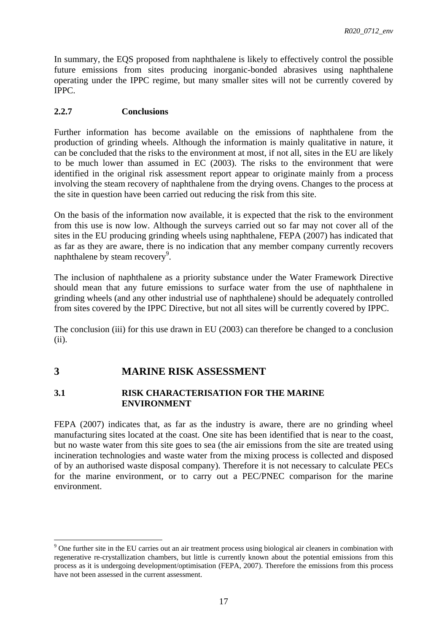In summary, the EQS proposed from naphthalene is likely to effectively control the possible future emissions from sites producing inorganic-bonded abrasives using naphthalene operating under the IPPC regime, but many smaller sites will not be currently covered by IPPC.

### <span id="page-16-0"></span>**2.2.7 Conclusions**

Further information has become available on the emissions of naphthalene from the production of grinding wheels. Although the information is mainly qualitative in nature, it can be concluded that the risks to the environment at most, if not all, sites in the EU are likely to be much lower than assumed in EC (2003). The risks to the environment that were identified in the original risk assessment report appear to originate mainly from a process involving the steam recovery of naphthalene from the drying ovens. Changes to the process at the site in question have been carried out reducing the risk from this site.

On the basis of the information now available, it is expected that the risk to the environment from this use is now low. Although the surveys carried out so far may not cover all of the sites in the EU producing grinding wheels using naphthalene, FEPA (2007) has indicated that as far as they are aware, there is no indication that any member company currently recovers naphthalene by steam recovery<sup>9</sup>.

The inclusion of naphthalene as a priority substance under the Water Framework Directive should mean that any future emissions to surface water from the use of naphthalene in grinding wheels (and any other industrial use of naphthalene) should be adequately controlled from sites covered by the IPPC Directive, but not all sites will be currently covered by IPPC.

The conclusion (iii) for this use drawn in EU (2003) can therefore be changed to a conclusion (ii).

# <span id="page-16-1"></span>**3 MARINE RISK ASSESSMENT**

 $\overline{a}$ 

### <span id="page-16-2"></span>**3.1 RISK CHARACTERISATION FOR THE MARINE ENVIRONMENT**

FEPA (2007) indicates that, as far as the industry is aware, there are no grinding wheel manufacturing sites located at the coast. One site has been identified that is near to the coast, but no waste water from this site goes to sea (the air emissions from the site are treated using incineration technologies and waste water from the mixing process is collected and disposed of by an authorised waste disposal company). Therefore it is not necessary to calculate PECs for the marine environment, or to carry out a PEC/PNEC comparison for the marine environment.

<sup>&</sup>lt;sup>9</sup> One further site in the EU carries out an air treatment process using biological air cleaners in combination with regenerative re-crystallization chambers, but little is currently known about the potential emissions from this process as it is undergoing development/optimisation (FEPA, 2007). Therefore the emissions from this process have not been assessed in the current assessment.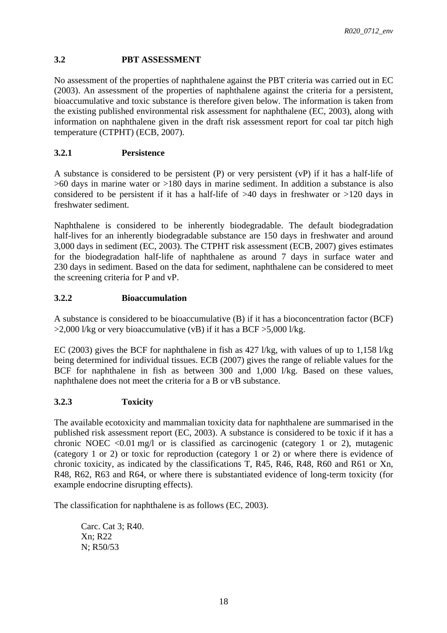## <span id="page-17-0"></span>**3.2 PBT ASSESSMENT**

No assessment of the properties of naphthalene against the PBT criteria was carried out in EC (2003). An assessment of the properties of naphthalene against the criteria for a persistent, bioaccumulative and toxic substance is therefore given below. The information is taken from the existing published environmental risk assessment for naphthalene (EC, 2003), along with information on naphthalene given in the draft risk assessment report for coal tar pitch high temperature (CTPHT) (ECB, 2007).

# <span id="page-17-1"></span>**3.2.1 Persistence**

A substance is considered to be persistent (P) or very persistent (vP) if it has a half-life of >60 days in marine water or >180 days in marine sediment. In addition a substance is also considered to be persistent if it has a half-life of >40 days in freshwater or >120 days in freshwater sediment.

Naphthalene is considered to be inherently biodegradable. The default biodegradation half-lives for an inherently biodegradable substance are 150 days in freshwater and around 3,000 days in sediment (EC, 2003). The CTPHT risk assessment (ECB, 2007) gives estimates for the biodegradation half-life of naphthalene as around 7 days in surface water and 230 days in sediment. Based on the data for sediment, naphthalene can be considered to meet the screening criteria for P and vP.

# <span id="page-17-2"></span>**3.2.2 Bioaccumulation**

A substance is considered to be bioaccumulative (B) if it has a bioconcentration factor (BCF)  $>2,000$  l/kg or very bioaccumulative (vB) if it has a BCF  $>5,000$  l/kg.

EC (2003) gives the BCF for naphthalene in fish as 427 l/kg, with values of up to 1,158 l/kg being determined for individual tissues. ECB (2007) gives the range of reliable values for the BCF for naphthalene in fish as between 300 and 1,000 l/kg. Based on these values, naphthalene does not meet the criteria for a B or vB substance.

# <span id="page-17-3"></span>**3.2.3 Toxicity**

The available ecotoxicity and mammalian toxicity data for naphthalene are summarised in the published risk assessment report (EC, 2003). A substance is considered to be toxic if it has a chronic NOEC  $\langle 0.01 \text{ mg}/1 \text{ or } 1.01 \text{ g} \rangle$  or is classified as carcinogenic (category 1 or 2), mutagenic (category 1 or 2) or toxic for reproduction (category 1 or 2) or where there is evidence of chronic toxicity, as indicated by the classifications T, R45, R46, R48, R60 and R61 or Xn, R48, R62, R63 and R64, or where there is substantiated evidence of long-term toxicity (for example endocrine disrupting effects).

The classification for naphthalene is as follows (EC, 2003).

 Carc. Cat 3; R40. Xn; R22 N; R50/53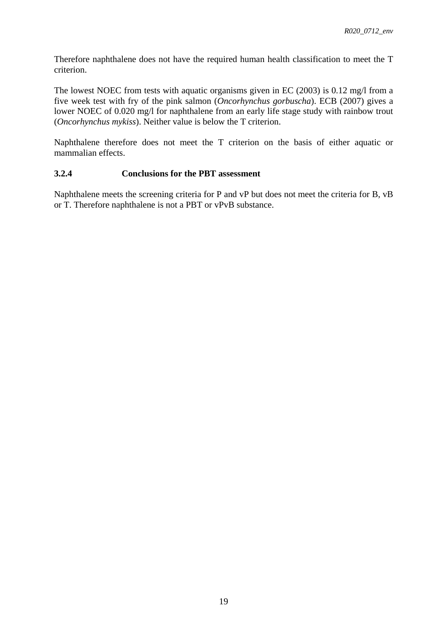Therefore naphthalene does not have the required human health classification to meet the T criterion.

The lowest NOEC from tests with aquatic organisms given in EC (2003) is 0.12 mg/l from a five week test with fry of the pink salmon (*Oncorhynchus gorbuscha*). ECB (2007) gives a lower NOEC of 0.020 mg/l for naphthalene from an early life stage study with rainbow trout (*Oncorhynchus mykiss*). Neither value is below the T criterion.

Naphthalene therefore does not meet the T criterion on the basis of either aquatic or mammalian effects.

### <span id="page-18-0"></span>**3.2.4 Conclusions for the PBT assessment**

Naphthalene meets the screening criteria for P and vP but does not meet the criteria for B, vB or T. Therefore naphthalene is not a PBT or vPvB substance.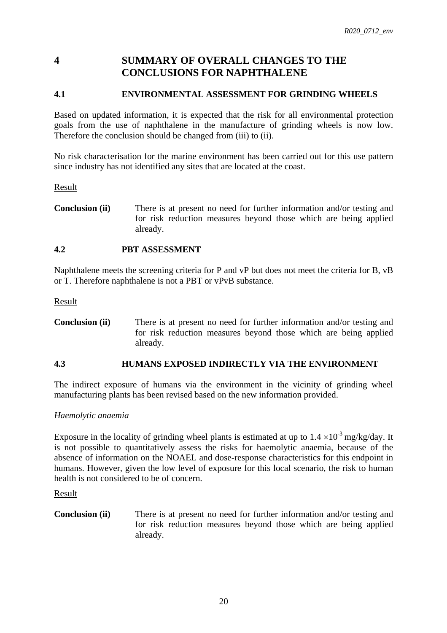# <span id="page-19-0"></span>**4 SUMMARY OF OVERALL CHANGES TO THE CONCLUSIONS FOR NAPHTHALENE**

# <span id="page-19-1"></span>**4.1 ENVIRONMENTAL ASSESSMENT FOR GRINDING WHEELS**

Based on updated information, it is expected that the risk for all environmental protection goals from the use of naphthalene in the manufacture of grinding wheels is now low. Therefore the conclusion should be changed from (iii) to (ii).

No risk characterisation for the marine environment has been carried out for this use pattern since industry has not identified any sites that are located at the coast.

Result

**Conclusion (ii)** There is at present no need for further information and/or testing and for risk reduction measures beyond those which are being applied already.

### <span id="page-19-2"></span>**4.2 PBT ASSESSMENT**

Naphthalene meets the screening criteria for P and vP but does not meet the criteria for B, vB or T. Therefore naphthalene is not a PBT or vPvB substance.

Result

**Conclusion (ii)** There is at present no need for further information and/or testing and for risk reduction measures beyond those which are being applied already.

#### <span id="page-19-3"></span>**4.3 HUMANS EXPOSED INDIRECTLY VIA THE ENVIRONMENT**

The indirect exposure of humans via the environment in the vicinity of grinding wheel manufacturing plants has been revised based on the new information provided.

*Haemolytic anaemia* 

Exposure in the locality of grinding wheel plants is estimated at up to  $1.4 \times 10^{-3}$  mg/kg/day. It is not possible to quantitatively assess the risks for haemolytic anaemia, because of the absence of information on the NOAEL and dose-response characteristics for this endpoint in humans. However, given the low level of exposure for this local scenario, the risk to human health is not considered to be of concern.

Result

**Conclusion (ii)** There is at present no need for further information and/or testing and for risk reduction measures beyond those which are being applied already.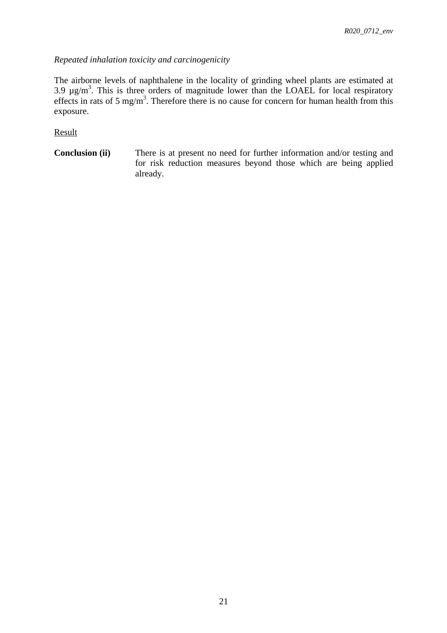# *Repeated inhalation toxicity and carcinogenicity*

The airborne levels of naphthalene in the locality of grinding wheel plants are estimated at 3.9  $\mu$ g/m<sup>3</sup>. This is three orders of magnitude lower than the LOAEL for local respiratory effects in rats of 5 mg/m<sup>3</sup>. Therefore there is no cause for concern for human health from this exposure.

Result

**Conclusion (ii)** There is at present no need for further information and/or testing and for risk reduction measures beyond those which are being applied already.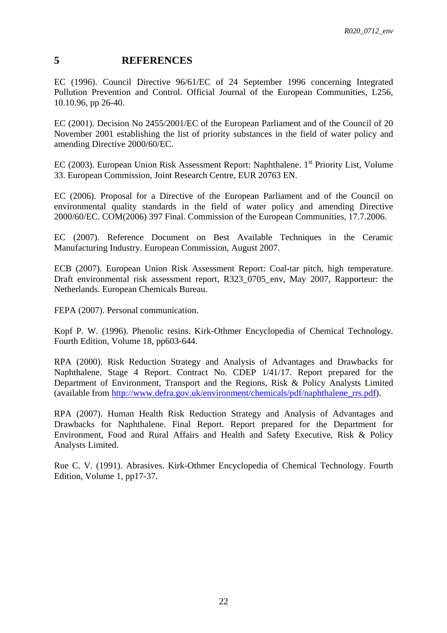## <span id="page-21-0"></span>**5 REFERENCES**

EC (1996). Council Directive 96/61/EC of 24 September 1996 concerning Integrated Pollution Prevention and Control. Official Journal of the European Communities, L256, 10.10.96, pp 26-40.

EC (2001). Decision No 2455/2001/EC of the European Parliament and of the Council of 20 November 2001 establishing the list of priority substances in the field of water policy and amending Directive 2000/60/EC.

EC (2003). European Union Risk Assessment Report: Naphthalene. 1<sup>st</sup> Priority List, Volume 33. European Commission, Joint Research Centre, EUR 20763 EN.

EC (2006). Proposal for a Directive of the European Parliament and of the Council on environmental quality standards in the field of water policy and amending Directive 2000/60/EC. COM(2006) 397 Final. Commission of the European Communities, 17.7.2006.

EC (2007). Reference Document on Best Available Techniques in the Ceramic Manufacturing Industry. European Commission, August 2007.

ECB (2007). European Union Risk Assessment Report: Coal-tar pitch, high temperature. Draft environmental risk assessment report, R323\_0705\_env, May 2007, Rapporteur: the Netherlands. European Chemicals Bureau.

FEPA (2007). Personal communication.

Kopf P. W. (1996). Phenolic resins. Kirk-Othmer Encyclopedia of Chemical Technology. Fourth Edition, Volume 18, pp603-644.

RPA (2000). Risk Reduction Strategy and Analysis of Advantages and Drawbacks for Naphthalene. Stage 4 Report. Contract No. CDEP 1/41/17. Report prepared for the Department of Environment, Transport and the Regions, Risk & Policy Analysts Limited (available fro[m http://www.defra.gov.uk/environment/chemicals/pdf/naphthalene\\_rrs.pdf\)](http://www.defra.gov.uk/environment/chemicals/pdf/naphthalene_rrs.pdf).

RPA (2007). Human Health Risk Reduction Strategy and Analysis of Advantages and Drawbacks for Naphthalene. Final Report. Report prepared for the Department for Environment, Food and Rural Affairs and Health and Safety Executive, Risk & Policy Analysts Limited.

Rue C. V. (1991). Abrasives. Kirk-Othmer Encyclopedia of Chemical Technology. Fourth Edition, Volume 1, pp17-37.